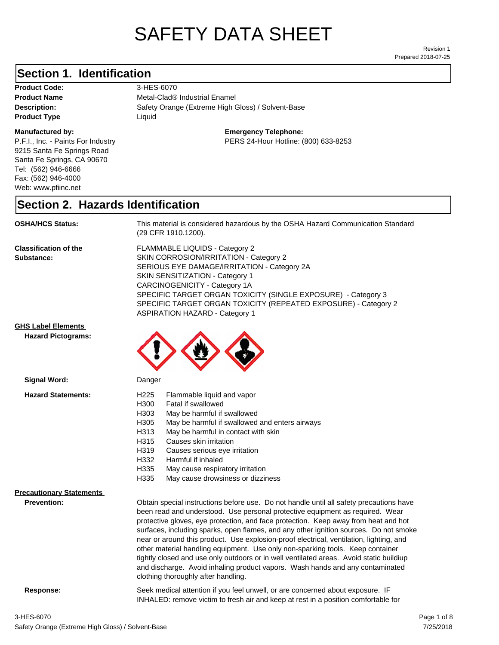# SAFETY DATA SHEET

Prepared 2018-07-25 Revision 1

#### **Section 1. Identification**

**Product Code:** 3-HES-6070 **Product Type Liquid Liquid** 

#### **Manufactured by:**

P.F.I., Inc. - Paints For Industry 9215 Santa Fe Springs Road Santa Fe Springs, CA 90670 Tel: (562) 946-6666 Fax: (562) 946-4000 Web: www.pfiinc.net

**Description:** Safety Orange (Extreme High Gloss) / Solvent-Base **Product Name** Metal-Clad<sup>®</sup> Industrial Enamel

**Emergency Telephone:**

PERS 24-Hour Hotline: (800) 633-8253

#### **Section 2. Hazards Identification**

**OSHA/HCS Status:** This material is considered hazardous by the OSHA Hazard Communication Standard (29 CFR 1910.1200).

**Classification of the Substance:**

FLAMMABLE LIQUIDS - Category 2 SKIN CORROSION/IRRITATION - Category 2 SERIOUS EYE DAMAGE/IRRITATION - Category 2A SKIN SENSITIZATION - Category 1 CARCINOGENICITY - Category 1A SPECIFIC TARGET ORGAN TOXICITY (SINGLE EXPOSURE) - Category 3 SPECIFIC TARGET ORGAN TOXICITY (REPEATED EXPOSURE) - Category 2 ASPIRATION HAZARD - Category 1

INHALED: remove victim to fresh air and keep at rest in a position comfortable for

#### **GHS Label Elements**

**Signal Word:**

**Hazard Pictograms:**



| <b>Hazard Statements:</b>       | H <sub>225</sub><br>Flammable liquid and vapor<br>H300<br>Fatal if swallowed<br>H303<br>May be harmful if swallowed<br>H305<br>May be harmful if swallowed and enters airways<br>May be harmful in contact with skin<br>H313<br>H315<br>Causes skin irritation<br>H319<br>Causes serious eye irritation<br>H332<br>Harmful if inhaled<br>H335<br>May cause respiratory irritation<br>H335<br>May cause drowsiness or dizziness                                                                                                                                                                                                                                                                                                                           |
|---------------------------------|----------------------------------------------------------------------------------------------------------------------------------------------------------------------------------------------------------------------------------------------------------------------------------------------------------------------------------------------------------------------------------------------------------------------------------------------------------------------------------------------------------------------------------------------------------------------------------------------------------------------------------------------------------------------------------------------------------------------------------------------------------|
| <b>Precautionary Statements</b> |                                                                                                                                                                                                                                                                                                                                                                                                                                                                                                                                                                                                                                                                                                                                                          |
| <b>Prevention:</b>              | Obtain special instructions before use. Do not handle until all safety precautions have<br>been read and understood. Use personal protective equipment as required. Wear<br>protective gloves, eye protection, and face protection. Keep away from heat and hot<br>surfaces, including sparks, open flames, and any other ignition sources. Do not smoke<br>near or around this product. Use explosion-proof electrical, ventilation, lighting, and<br>other material handling equipment. Use only non-sparking tools. Keep container<br>tightly closed and use only outdoors or in well ventilated areas. Avoid static buildiup<br>and discharge. Avoid inhaling product vapors. Wash hands and any contaminated<br>clothing thoroughly after handling. |
| Response:                       | Seek medical attention if you feel unwell, or are concerned about exposure. IF                                                                                                                                                                                                                                                                                                                                                                                                                                                                                                                                                                                                                                                                           |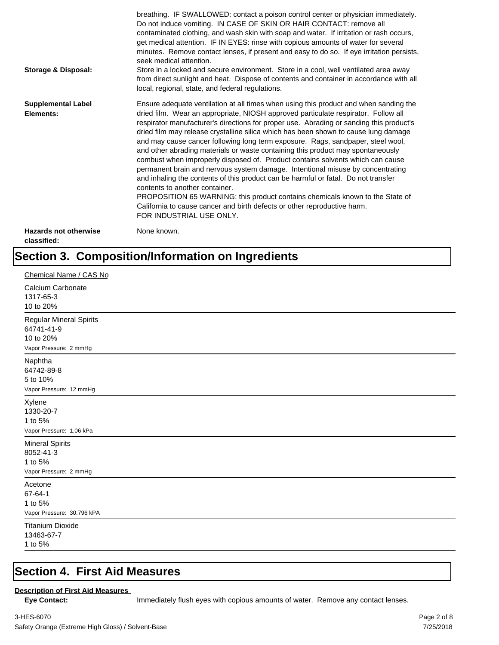| Storage & Disposal:                         | breathing. IF SWALLOWED: contact a poison control center or physician immediately.<br>Do not induce vomiting. IN CASE OF SKIN OR HAIR CONTACT: remove all<br>contaminated clothing, and wash skin with soap and water. If irritation or rash occurs,<br>get medical attention. IF IN EYES: rinse with copious amounts of water for several<br>minutes. Remove contact lenses, if present and easy to do so. If eye irritation persists,<br>seek medical attention.<br>Store in a locked and secure environment. Store in a cool, well ventilated area away<br>from direct sunlight and heat. Dispose of contents and container in accordance with all<br>local, regional, state, and federal regulations.                                                                                                                                                                                                                                                                                                                |
|---------------------------------------------|--------------------------------------------------------------------------------------------------------------------------------------------------------------------------------------------------------------------------------------------------------------------------------------------------------------------------------------------------------------------------------------------------------------------------------------------------------------------------------------------------------------------------------------------------------------------------------------------------------------------------------------------------------------------------------------------------------------------------------------------------------------------------------------------------------------------------------------------------------------------------------------------------------------------------------------------------------------------------------------------------------------------------|
| <b>Supplemental Label</b><br>Elements:      | Ensure adequate ventilation at all times when using this product and when sanding the<br>dried film. Wear an appropriate, NIOSH approved particulate respirator. Follow all<br>respirator manufacturer's directions for proper use. Abrading or sanding this product's<br>dried film may release crystalline silica which has been shown to cause lung damage<br>and may cause cancer following long term exposure. Rags, sandpaper, steel wool,<br>and other abrading materials or waste containing this product may spontaneously<br>combust when improperly disposed of. Product contains solvents which can cause<br>permanent brain and nervous system damage. Intentional misuse by concentrating<br>and inhaling the contents of this product can be harmful or fatal. Do not transfer<br>contents to another container.<br>PROPOSITION 65 WARNING: this product contains chemicals known to the State of<br>California to cause cancer and birth defects or other reproductive harm.<br>FOR INDUSTRIAL USE ONLY. |
| <b>Hazards not otherwise</b><br>classified: | None known.                                                                                                                                                                                                                                                                                                                                                                                                                                                                                                                                                                                                                                                                                                                                                                                                                                                                                                                                                                                                              |

## **Section 3. Composition/Information on Ingredients**

| Chemical Name / CAS No                                                              |
|-------------------------------------------------------------------------------------|
| Calcium Carbonate<br>1317-65-3<br>10 to 20%                                         |
| <b>Regular Mineral Spirits</b><br>64741-41-9<br>10 to 20%<br>Vapor Pressure: 2 mmHg |
| Naphtha<br>64742-89-8<br>5 to 10%<br>Vapor Pressure: 12 mmHg                        |
| Xylene<br>1330-20-7<br>1 to 5%<br>Vapor Pressure: 1.06 kPa                          |
| <b>Mineral Spirits</b><br>8052-41-3<br>1 to 5%<br>Vapor Pressure: 2 mmHg            |
| Acetone<br>67-64-1<br>1 to 5%<br>Vapor Pressure: 30.796 kPA                         |
| <b>Titanium Dioxide</b><br>13463-67-7<br>1 to 5%                                    |

#### **Section 4. First Aid Measures**

#### **Description of First Aid Measures**

Eye Contact: **IMMED** Immediately flush eyes with copious amounts of water. Remove any contact lenses.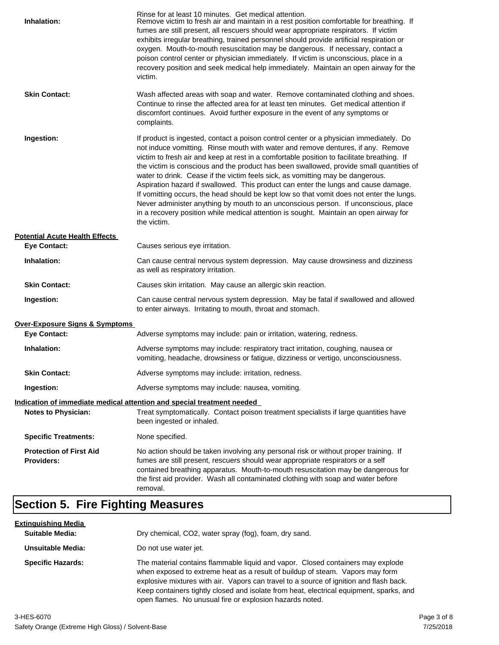| Inhalation:                                         | Rinse for at least 10 minutes. Get medical attention.<br>Remove victim to fresh air and maintain in a rest position comfortable for breathing. If<br>fumes are still present, all rescuers should wear appropriate respirators. If victim<br>exhibits irregular breathing, trained personnel should provide artificial respiration or<br>oxygen. Mouth-to-mouth resuscitation may be dangerous. If necessary, contact a<br>poison control center or physician immediately. If victim is unconscious, place in a<br>recovery position and seek medical help immediately. Maintain an open airway for the<br>victim.                                                                                                                                                                                                                    |
|-----------------------------------------------------|---------------------------------------------------------------------------------------------------------------------------------------------------------------------------------------------------------------------------------------------------------------------------------------------------------------------------------------------------------------------------------------------------------------------------------------------------------------------------------------------------------------------------------------------------------------------------------------------------------------------------------------------------------------------------------------------------------------------------------------------------------------------------------------------------------------------------------------|
| <b>Skin Contact:</b>                                | Wash affected areas with soap and water. Remove contaminated clothing and shoes.<br>Continue to rinse the affected area for at least ten minutes. Get medical attention if<br>discomfort continues. Avoid further exposure in the event of any symptoms or<br>complaints.                                                                                                                                                                                                                                                                                                                                                                                                                                                                                                                                                             |
| Ingestion:                                          | If product is ingested, contact a poison control center or a physician immediately. Do<br>not induce vomitting. Rinse mouth with water and remove dentures, if any. Remove<br>victim to fresh air and keep at rest in a comfortable position to facilitate breathing. If<br>the victim is conscious and the product has been swallowed, provide small quantities of<br>water to drink. Cease if the victim feels sick, as vomitting may be dangerous.<br>Aspiration hazard if swallowed. This product can enter the lungs and cause damage.<br>If vomitting occurs, the head should be kept low so that vomit does not enter the lungs.<br>Never administer anything by mouth to an unconscious person. If unconscious, place<br>in a recovery position while medical attention is sought. Maintain an open airway for<br>the victim. |
| <b>Potential Acute Health Effects</b>               |                                                                                                                                                                                                                                                                                                                                                                                                                                                                                                                                                                                                                                                                                                                                                                                                                                       |
| <b>Eye Contact:</b>                                 | Causes serious eye irritation.                                                                                                                                                                                                                                                                                                                                                                                                                                                                                                                                                                                                                                                                                                                                                                                                        |
| Inhalation:                                         | Can cause central nervous system depression. May cause drowsiness and dizziness<br>as well as respiratory irritation.                                                                                                                                                                                                                                                                                                                                                                                                                                                                                                                                                                                                                                                                                                                 |
| <b>Skin Contact:</b>                                | Causes skin irritation. May cause an allergic skin reaction.                                                                                                                                                                                                                                                                                                                                                                                                                                                                                                                                                                                                                                                                                                                                                                          |
| Ingestion:                                          | Can cause central nervous system depression. May be fatal if swallowed and allowed<br>to enter airways. Irritating to mouth, throat and stomach.                                                                                                                                                                                                                                                                                                                                                                                                                                                                                                                                                                                                                                                                                      |
| <b>Over-Exposure Signs &amp; Symptoms</b>           |                                                                                                                                                                                                                                                                                                                                                                                                                                                                                                                                                                                                                                                                                                                                                                                                                                       |
| <b>Eye Contact:</b>                                 | Adverse symptoms may include: pain or irritation, watering, redness.                                                                                                                                                                                                                                                                                                                                                                                                                                                                                                                                                                                                                                                                                                                                                                  |
| Inhalation:                                         | Adverse symptoms may include: respiratory tract irritation, coughing, nausea or<br>vomiting, headache, drowsiness or fatigue, dizziness or vertigo, unconsciousness.                                                                                                                                                                                                                                                                                                                                                                                                                                                                                                                                                                                                                                                                  |
| <b>Skin Contact:</b>                                | Adverse symptoms may include: irritation, redness.                                                                                                                                                                                                                                                                                                                                                                                                                                                                                                                                                                                                                                                                                                                                                                                    |
| Ingestion:                                          | Adverse symptoms may include: nausea, vomiting.                                                                                                                                                                                                                                                                                                                                                                                                                                                                                                                                                                                                                                                                                                                                                                                       |
|                                                     | Indication of immediate medical attention and special treatment needed                                                                                                                                                                                                                                                                                                                                                                                                                                                                                                                                                                                                                                                                                                                                                                |
| <b>Notes to Physician:</b>                          | Treat symptomatically. Contact poison treatment specialists if large quantities have<br>been ingested or inhaled.                                                                                                                                                                                                                                                                                                                                                                                                                                                                                                                                                                                                                                                                                                                     |
| <b>Specific Treatments:</b>                         | None specified.                                                                                                                                                                                                                                                                                                                                                                                                                                                                                                                                                                                                                                                                                                                                                                                                                       |
| <b>Protection of First Aid</b><br><b>Providers:</b> | No action should be taken involving any personal risk or without proper training. If<br>fumes are still present, rescuers should wear appropriate respirators or a self<br>contained breathing apparatus. Mouth-to-mouth resuscitation may be dangerous for<br>the first aid provider. Wash all contaminated clothing with soap and water before<br>removal.                                                                                                                                                                                                                                                                                                                                                                                                                                                                          |

## **Section 5. Fire Fighting Measures**

| <u>Extinquishing Media</u> |                                                                                                                                                                                                                                                                                                                                                                                                                   |
|----------------------------|-------------------------------------------------------------------------------------------------------------------------------------------------------------------------------------------------------------------------------------------------------------------------------------------------------------------------------------------------------------------------------------------------------------------|
| <b>Suitable Media:</b>     | Dry chemical, CO2, water spray (fog), foam, dry sand.                                                                                                                                                                                                                                                                                                                                                             |
| Unsuitable Media:          | Do not use water jet.                                                                                                                                                                                                                                                                                                                                                                                             |
| <b>Specific Hazards:</b>   | The material contains flammable liquid and vapor. Closed containers may explode<br>when exposed to extreme heat as a result of buildup of steam. Vapors may form<br>explosive mixtures with air. Vapors can travel to a source of ignition and flash back.<br>Keep containers tightly closed and isolate from heat, electrical equipment, sparks, and<br>open flames. No unusual fire or explosion hazards noted. |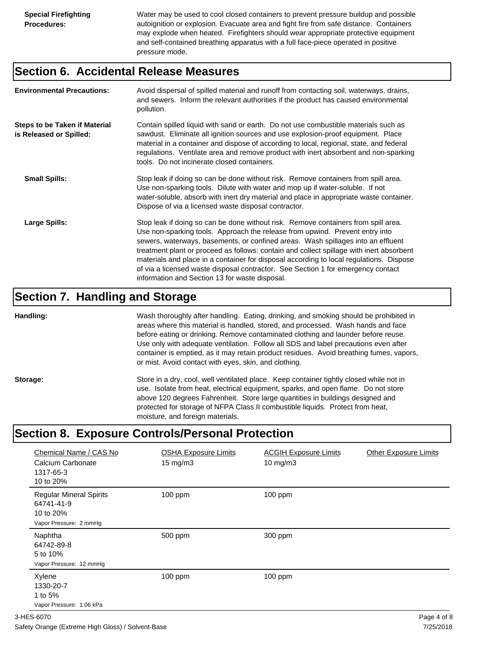Water may be used to cool closed containers to prevent pressure buildup and possible autoignition or explosion. Evacuate area and fight fire from safe distance. Containers may explode when heated. Firefighters should wear appropriate protective equipment and self-contained breathing apparatus with a full face-piece operated in positive pressure mode.

#### **Section 6. Accidental Release Measures**

| <b>Environmental Precautions:</b>                               | Avoid dispersal of spilled material and runoff from contacting soil, waterways, drains,<br>and sewers. Inform the relevant authorities if the product has caused environmental<br>pollution.                                                                                                                                                                                                                                                                                                                                                                                        |
|-----------------------------------------------------------------|-------------------------------------------------------------------------------------------------------------------------------------------------------------------------------------------------------------------------------------------------------------------------------------------------------------------------------------------------------------------------------------------------------------------------------------------------------------------------------------------------------------------------------------------------------------------------------------|
| <b>Steps to be Taken if Material</b><br>is Released or Spilled: | Contain spilled liquid with sand or earth. Do not use combustible materials such as<br>sawdust. Eliminate all ignition sources and use explosion-proof equipment. Place<br>material in a container and dispose of according to local, regional, state, and federal<br>regulations. Ventilate area and remove product with inert absorbent and non-sparking<br>tools. Do not incinerate closed containers.                                                                                                                                                                           |
| <b>Small Spills:</b>                                            | Stop leak if doing so can be done without risk. Remove containers from spill area.<br>Use non-sparking tools. Dilute with water and mop up if water-soluble. If not<br>water-soluble, absorb with inert dry material and place in appropriate waste container.<br>Dispose of via a licensed waste disposal contractor.                                                                                                                                                                                                                                                              |
| Large Spills:                                                   | Stop leak if doing so can be done without risk. Remove containers from spill area.<br>Use non-sparking tools. Approach the release from upwind. Prevent entry into<br>sewers, waterways, basements, or confined areas. Wash spillages into an effluent<br>treatment plant or proceed as follows: contain and collect spillage with inert absorbent<br>materials and place in a container for disposal according to local regulations. Dispose<br>of via a licensed waste disposal contractor. See Section 1 for emergency contact<br>information and Section 13 for waste disposal. |

#### **Section 7. Handling and Storage**

**Handling:** Wash thoroughly after handling. Eating, drinking, and smoking should be prohibited in areas where this material is handled, stored, and processed. Wash hands and face before eating or drinking. Remove contaminated clothing and launder before reuse. Use only with adequate ventilation. Follow all SDS and label precautions even after container is emptied, as it may retain product residues. Avoid breathing fumes, vapors, or mist. Avoid contact with eyes, skin, and clothing.

Storage: Store in a dry, cool, well ventilated place. Keep container tightly closed while not in use. Isolate from heat, electrical equipment, sparks, and open flame. Do not store above 120 degrees Fahrenheit. Store large quantities in buildings designed and protected for storage of NFPA Class II combustible liquids. Protect from heat, moisture, and foreign materials.

## **Section 8. Exposure Controls/Personal Protection**

| Chemical Name / CAS No<br>Calcium Carbonate<br>1317-65-3<br>10 to 20%               | <b>OSHA Exposure Limits</b><br>$15 \text{ mg/m}$ | <b>ACGIH Exposure Limits</b><br>10 mg/m $3$ | <b>Other Exposure Limits</b> |
|-------------------------------------------------------------------------------------|--------------------------------------------------|---------------------------------------------|------------------------------|
| <b>Regular Mineral Spirits</b><br>64741-41-9<br>10 to 20%<br>Vapor Pressure: 2 mmHg | 100 ppm                                          | 100 ppm                                     |                              |
| Naphtha<br>64742-89-8<br>5 to 10%<br>Vapor Pressure: 12 mmHg                        | 500 ppm                                          | 300 ppm                                     |                              |
| Xylene<br>1330-20-7<br>1 to 5%<br>Vapor Pressure: 1.06 kPa                          | $100$ ppm                                        | $100$ ppm                                   |                              |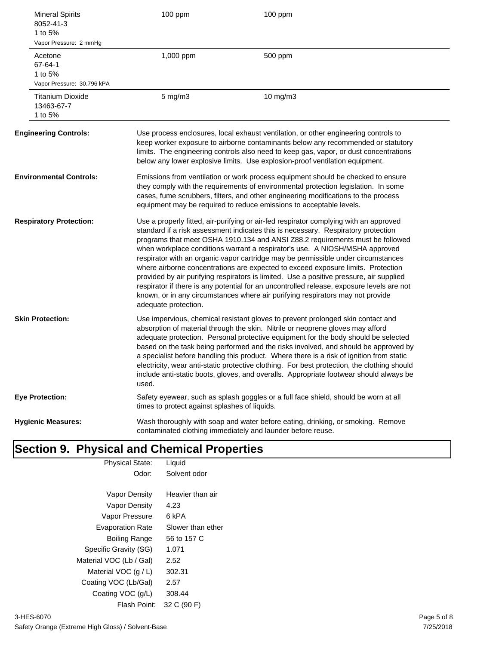| <b>Mineral Spirits</b><br>8052-41-3<br>1 to 5%<br>Vapor Pressure: 2 mmHg | 100 ppm                                       | 100 ppm                                                                                                                                                                                                                                                                                                                                                                                                                                                                                                                                                                                                                                                                                                                                                                                       |
|--------------------------------------------------------------------------|-----------------------------------------------|-----------------------------------------------------------------------------------------------------------------------------------------------------------------------------------------------------------------------------------------------------------------------------------------------------------------------------------------------------------------------------------------------------------------------------------------------------------------------------------------------------------------------------------------------------------------------------------------------------------------------------------------------------------------------------------------------------------------------------------------------------------------------------------------------|
| Acetone<br>67-64-1<br>1 to 5%<br>Vapor Pressure: 30.796 kPA              | 1,000 ppm                                     | 500 ppm                                                                                                                                                                                                                                                                                                                                                                                                                                                                                                                                                                                                                                                                                                                                                                                       |
| <b>Titanium Dioxide</b><br>13463-67-7<br>1 to 5%                         | $5$ mg/m $3$                                  | 10 mg/m3                                                                                                                                                                                                                                                                                                                                                                                                                                                                                                                                                                                                                                                                                                                                                                                      |
| <b>Engineering Controls:</b>                                             |                                               | Use process enclosures, local exhaust ventilation, or other engineering controls to<br>keep worker exposure to airborne contaminants below any recommended or statutory<br>limits. The engineering controls also need to keep gas, vapor, or dust concentrations<br>below any lower explosive limits. Use explosion-proof ventilation equipment.                                                                                                                                                                                                                                                                                                                                                                                                                                              |
| <b>Environmental Controls:</b>                                           |                                               | Emissions from ventilation or work process equipment should be checked to ensure<br>they comply with the requirements of environmental protection legislation. In some<br>cases, fume scrubbers, filters, and other engineering modifications to the process<br>equipment may be required to reduce emissions to acceptable levels.                                                                                                                                                                                                                                                                                                                                                                                                                                                           |
| <b>Respiratory Protection:</b>                                           | adequate protection.                          | Use a properly fitted, air-purifying or air-fed respirator complying with an approved<br>standard if a risk assessment indicates this is necessary. Respiratory protection<br>programs that meet OSHA 1910.134 and ANSI Z88.2 requirements must be followed<br>when workplace conditions warrant a respirator's use. A NIOSH/MSHA approved<br>respirator with an organic vapor cartridge may be permissible under circumstances<br>where airborne concentrations are expected to exceed exposure limits. Protection<br>provided by air purifying respirators is limited. Use a positive pressure, air supplied<br>respirator if there is any potential for an uncontrolled release, exposure levels are not<br>known, or in any circumstances where air purifying respirators may not provide |
| <b>Skin Protection:</b>                                                  | used.                                         | Use impervious, chemical resistant gloves to prevent prolonged skin contact and<br>absorption of material through the skin. Nitrile or neoprene gloves may afford<br>adequate protection. Personal protective equipment for the body should be selected<br>based on the task being performed and the risks involved, and should be approved by<br>a specialist before handling this product. Where there is a risk of ignition from static<br>electricity, wear anti-static protective clothing. For best protection, the clothing should<br>include anti-static boots, gloves, and overalls. Appropriate footwear should always be                                                                                                                                                           |
| <b>Eye Protection:</b>                                                   | times to protect against splashes of liquids. | Safety eyewear, such as splash goggles or a full face shield, should be worn at all                                                                                                                                                                                                                                                                                                                                                                                                                                                                                                                                                                                                                                                                                                           |
| <b>Hygienic Measures:</b>                                                |                                               | Wash thoroughly with soap and water before eating, drinking, or smoking. Remove<br>contaminated clothing immediately and launder before reuse.                                                                                                                                                                                                                                                                                                                                                                                                                                                                                                                                                                                                                                                |

## **Section 9. Physical and Chemical Properties**

| <b>Physical State:</b>  | Liquid            |
|-------------------------|-------------------|
| Odor:                   | Solvent odor      |
|                         |                   |
| Vapor Density           | Heavier than air  |
| Vapor Density           | 4.23              |
| Vapor Pressure          | 6 kPA             |
| <b>Evaporation Rate</b> | Slower than ether |
| Boiling Range           | 56 to 157 C       |
| Specific Gravity (SG)   | 1.071             |
| Material VOC (Lb / Gal) | 2.52              |
| Material VOC $(q/L)$    | 302.31            |
| Coating VOC (Lb/Gal)    | 2.57              |
| Coating VOC (g/L)       | 308.44            |
| Flash Point:            | 32 C (90 F)       |
|                         |                   |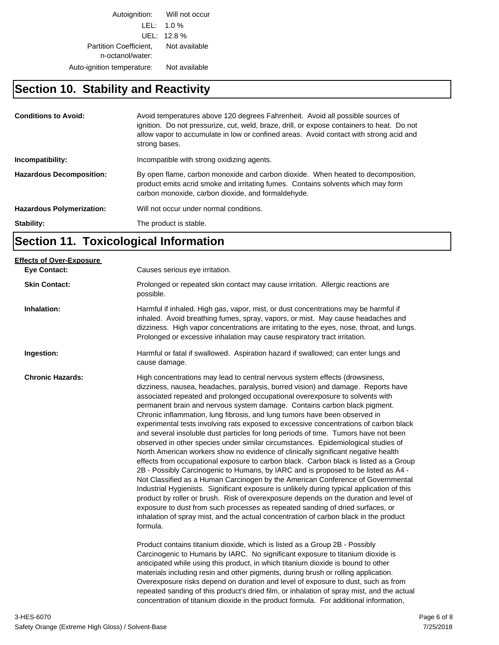Autoignition: Will not occur LEL: 1.0 % UEL: 12.8 % Partition Coefficient, Not available n-octanol/water: Auto-ignition temperature: Not available

#### **Section 10. Stability and Reactivity**

| <b>Conditions to Avoid:</b>      | Avoid temperatures above 120 degrees Fahrenheit. Avoid all possible sources of<br>ignition. Do not pressurize, cut, weld, braze, drill, or expose containers to heat. Do not<br>allow vapor to accumulate in low or confined areas. Avoid contact with strong acid and<br>strong bases. |
|----------------------------------|-----------------------------------------------------------------------------------------------------------------------------------------------------------------------------------------------------------------------------------------------------------------------------------------|
| Incompatibility:                 | Incompatible with strong oxidizing agents.                                                                                                                                                                                                                                              |
| <b>Hazardous Decomposition:</b>  | By open flame, carbon monoxide and carbon dioxide. When heated to decomposition,<br>product emits acrid smoke and irritating fumes. Contains solvents which may form<br>carbon monoxide, carbon dioxide, and formaldehyde.                                                              |
| <b>Hazardous Polymerization:</b> | Will not occur under normal conditions.                                                                                                                                                                                                                                                 |
| Stability:                       | The product is stable.                                                                                                                                                                                                                                                                  |

## **Section 11. Toxicological Information**

| Causes serious eye irritation.                                                                                                                                                                                                                                                                                                                                                                                                                                                                                                                                                                                                                                                                                                                                                                                                                                                                                                                                                                                                                                                                                                                                                                                                                                                                                                                                                                                                                                                                      |
|-----------------------------------------------------------------------------------------------------------------------------------------------------------------------------------------------------------------------------------------------------------------------------------------------------------------------------------------------------------------------------------------------------------------------------------------------------------------------------------------------------------------------------------------------------------------------------------------------------------------------------------------------------------------------------------------------------------------------------------------------------------------------------------------------------------------------------------------------------------------------------------------------------------------------------------------------------------------------------------------------------------------------------------------------------------------------------------------------------------------------------------------------------------------------------------------------------------------------------------------------------------------------------------------------------------------------------------------------------------------------------------------------------------------------------------------------------------------------------------------------------|
| Prolonged or repeated skin contact may cause irritation. Allergic reactions are<br>possible.                                                                                                                                                                                                                                                                                                                                                                                                                                                                                                                                                                                                                                                                                                                                                                                                                                                                                                                                                                                                                                                                                                                                                                                                                                                                                                                                                                                                        |
| Harmful if inhaled. High gas, vapor, mist, or dust concentrations may be harmful if<br>inhaled. Avoid breathing fumes, spray, vapors, or mist. May cause headaches and<br>dizziness. High vapor concentrations are irritating to the eyes, nose, throat, and lungs.<br>Prolonged or excessive inhalation may cause respiratory tract irritation.                                                                                                                                                                                                                                                                                                                                                                                                                                                                                                                                                                                                                                                                                                                                                                                                                                                                                                                                                                                                                                                                                                                                                    |
| Harmful or fatal if swallowed. Aspiration hazard if swallowed; can enter lungs and<br>cause damage.                                                                                                                                                                                                                                                                                                                                                                                                                                                                                                                                                                                                                                                                                                                                                                                                                                                                                                                                                                                                                                                                                                                                                                                                                                                                                                                                                                                                 |
| High concentrations may lead to central nervous system effects (drowsiness,<br>dizziness, nausea, headaches, paralysis, burred vision) and damage. Reports have<br>associated repeated and prolonged occupational overexposure to solvents with<br>permanent brain and nervous system damage. Contains carbon black pigment.<br>Chronic inflammation, lung fibrosis, and lung tumors have been observed in<br>experimental tests involving rats exposed to excessive concentrations of carbon black<br>and several insoluble dust particles for long periods of time. Tumors have not been<br>observed in other species under similar circumstances. Epidemiological studies of<br>North American workers show no evidence of clinically significant negative health<br>effects from occupational exposure to carbon black. Carbon black is listed as a Group<br>2B - Possibly Carcinogenic to Humans, by IARC and is proposed to be listed as A4 -<br>Not Classified as a Human Carcinogen by the American Conference of Governmental<br>Industrial Hygienists. Significant exposure is unlikely during typical application of this<br>product by roller or brush. Risk of overexposure depends on the duration and level of<br>exposure to dust from such processes as repeated sanding of dried surfaces, or<br>inhalation of spray mist, and the actual concentration of carbon black in the product<br>formula.<br>Product contains titanium dioxide, which is listed as a Group 2B - Possibly |
| Carcinogenic to Humans by IARC. No significant exposure to titanium dioxide is<br>anticipated while using this product, in which titanium dioxide is bound to other<br>materials including resin and other pigments, during brush or rolling application.<br>Overexposure risks depend on duration and level of exposure to dust, such as from<br>repeated sanding of this product's dried film, or inhalation of spray mist, and the actual<br>concentration of titanium dioxide in the product formula. For additional information,                                                                                                                                                                                                                                                                                                                                                                                                                                                                                                                                                                                                                                                                                                                                                                                                                                                                                                                                                               |
|                                                                                                                                                                                                                                                                                                                                                                                                                                                                                                                                                                                                                                                                                                                                                                                                                                                                                                                                                                                                                                                                                                                                                                                                                                                                                                                                                                                                                                                                                                     |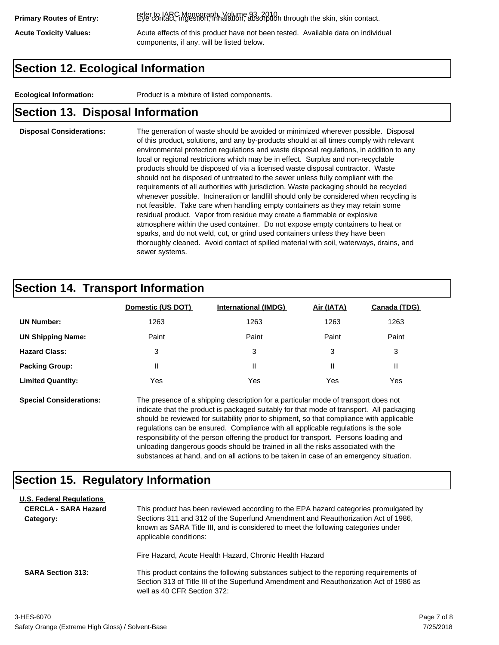refer to IARC Monograph, Volume 93, 2010. **Primary Routes of Entry:** Eye contact, ingestion, inhalation, absorption through the skin, skin contact.

Acute Toxicity Values: **Acute effects of this product have not been tested.** Available data on individual components, if any, will be listed below.

### **Section 12. Ecological Information**

**Ecological Information:** Product is a mixture of listed components.

#### **Section 13. Disposal Information**

#### **Disposal Considerations:** The generation of waste should be avoided or minimized wherever possible. Disposal of this product, solutions, and any by-products should at all times comply with relevant environmental protection regulations and waste disposal regulations, in addition to any local or regional restrictions which may be in effect. Surplus and non-recyclable products should be disposed of via a licensed waste disposal contractor. Waste should not be disposed of untreated to the sewer unless fully compliant with the requirements of all authorities with jurisdiction. Waste packaging should be recycled whenever possible. Incineration or landfill should only be considered when recycling is not feasible. Take care when handling empty containers as they may retain some residual product. Vapor from residue may create a flammable or explosive atmosphere within the used container. Do not expose empty containers to heat or sparks, and do not weld, cut, or grind used containers unless they have been thoroughly cleaned. Avoid contact of spilled material with soil, waterways, drains, and sewer systems.

#### **Section 14. Transport Information**

|                          | Domestic (US DOT) | <b>International (IMDG)</b> | Air (IATA) | <b>Canada (TDG)</b> |
|--------------------------|-------------------|-----------------------------|------------|---------------------|
| <b>UN Number:</b>        | 1263              | 1263                        | 1263       | 1263                |
| <b>UN Shipping Name:</b> | Paint             | Paint                       | Paint      | Paint               |
| <b>Hazard Class:</b>     | 3                 | 3                           | 3          | 3                   |
| <b>Packing Group:</b>    | Ш                 | Ш                           |            |                     |
| <b>Limited Quantity:</b> | Yes               | Yes                         | Yes        | Yes                 |

**Special Considerations:** The presence of a shipping description for a particular mode of transport does not indicate that the product is packaged suitably for that mode of transport. All packaging should be reviewed for suitability prior to shipment, so that compliance with applicable regulations can be ensured. Compliance with all applicable regulations is the sole responsibility of the person offering the product for transport. Persons loading and unloading dangerous goods should be trained in all the risks associated with the substances at hand, and on all actions to be taken in case of an emergency situation.

#### **Section 15. Regulatory Information**

| <b>U.S. Federal Regulations</b><br><b>CERCLA - SARA Hazard</b><br>Category: | This product has been reviewed according to the EPA hazard categories promulgated by<br>Sections 311 and 312 of the Superfund Amendment and Reauthorization Act of 1986,<br>known as SARA Title III, and is considered to meet the following categories under<br>applicable conditions: |
|-----------------------------------------------------------------------------|-----------------------------------------------------------------------------------------------------------------------------------------------------------------------------------------------------------------------------------------------------------------------------------------|
| <b>SARA Section 313:</b>                                                    | Fire Hazard, Acute Health Hazard, Chronic Health Hazard<br>This product contains the following substances subject to the reporting requirements of<br>Section 313 of Title III of the Superfund Amendment and Reauthorization Act of 1986 as<br>well as 40 CFR Section 372:             |